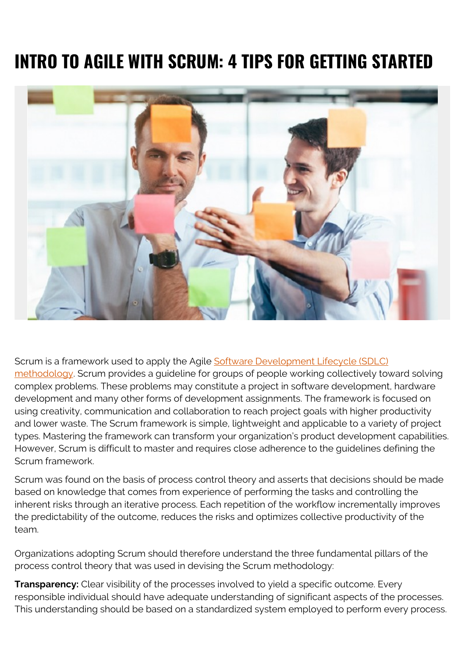# **INTRO TO AGILE WITH SCRUM: 4 TIPS FOR GETTING STARTED**



Scrum is a framework used to apply the Agile [Software Development Lifecycle \(SDLC\)](https://blogs.bmc.com/blogs/sdlc-software-development-lifecycle/) [methodology.](https://blogs.bmc.com/blogs/sdlc-software-development-lifecycle/) Scrum provides a guideline for groups of people working collectively toward solving complex problems. These problems may constitute a project in software development, hardware development and many other forms of development assignments. The framework is focused on using creativity, communication and collaboration to reach project goals with higher productivity and lower waste. The Scrum framework is simple, lightweight and applicable to a variety of project types. Mastering the framework can transform your organization's product development capabilities. However, Scrum is difficult to master and requires close adherence to the guidelines defining the Scrum framework.

Scrum was found on the basis of process control theory and asserts that decisions should be made based on knowledge that comes from experience of performing the tasks and controlling the inherent risks through an iterative process. Each repetition of the workflow incrementally improves the predictability of the outcome, reduces the risks and optimizes collective productivity of the team.

Organizations adopting Scrum should therefore understand the three fundamental pillars of the process control theory that was used in devising the Scrum methodology:

**Transparency:** Clear visibility of the processes involved to yield a specific outcome. Every responsible individual should have adequate understanding of significant aspects of the processes. This understanding should be based on a standardized system employed to perform every process.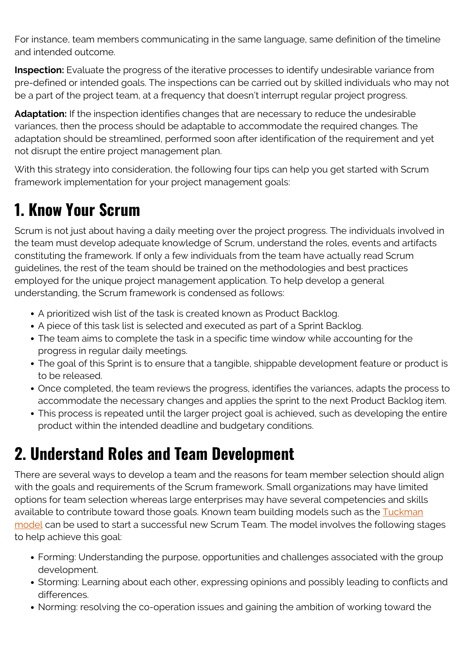For instance, team members communicating in the same language, same definition of the timeline and intended outcome.

**Inspection:** Evaluate the progress of the iterative processes to identify undesirable variance from pre-defined or intended goals. The inspections can be carried out by skilled individuals who may not be a part of the project team, at a frequency that doesn't interrupt regular project progress.

**Adaptation:** If the inspection identifies changes that are necessary to reduce the undesirable variances, then the process should be adaptable to accommodate the required changes. The adaptation should be streamlined, performed soon after identification of the requirement and yet not disrupt the entire project management plan.

With this strategy into consideration, the following four tips can help you get started with Scrum framework implementation for your project management goals:

### **1. Know Your Scrum**

Scrum is not just about having a daily meeting over the project progress. The individuals involved in the team must develop adequate knowledge of Scrum, understand the roles, events and artifacts constituting the framework. If only a few individuals from the team have actually read Scrum guidelines, the rest of the team should be trained on the methodologies and best practices employed for the unique project management application. To help develop a general understanding, the Scrum framework is condensed as follows:

- A prioritized wish list of the task is created known as Product Backlog.
- A piece of this task list is selected and executed as part of a Sprint Backlog.
- The team aims to complete the task in a specific time window while accounting for the progress in regular daily meetings.
- The goal of this Sprint is to ensure that a tangible, shippable development feature or product is to be released.
- Once completed, the team reviews the progress, identifies the variances, adapts the process to accommodate the necessary changes and applies the sprint to the next Product Backlog item.
- This process is repeated until the larger project goal is achieved, such as developing the entire product within the intended deadline and budgetary conditions.

## **2. Understand Roles and Team Development**

There are several ways to develop a team and the reasons for team member selection should align with the goals and requirements of the Scrum framework. Small organizations may have limited options for team selection whereas large enterprises may have several competencies and skills available to contribute toward those goals. Known team building models such as the [Tuckman](https://en.wikipedia.org/wiki/Tuckman%27s_stages_of_group_development) [model](https://en.wikipedia.org/wiki/Tuckman%27s_stages_of_group_development) can be used to start a successful new Scrum Team. The model involves the following stages to help achieve this goal:

- Forming: Understanding the purpose, opportunities and challenges associated with the group development.
- Storming: Learning about each other, expressing opinions and possibly leading to conflicts and differences.
- Norming: resolving the co-operation issues and gaining the ambition of working toward the